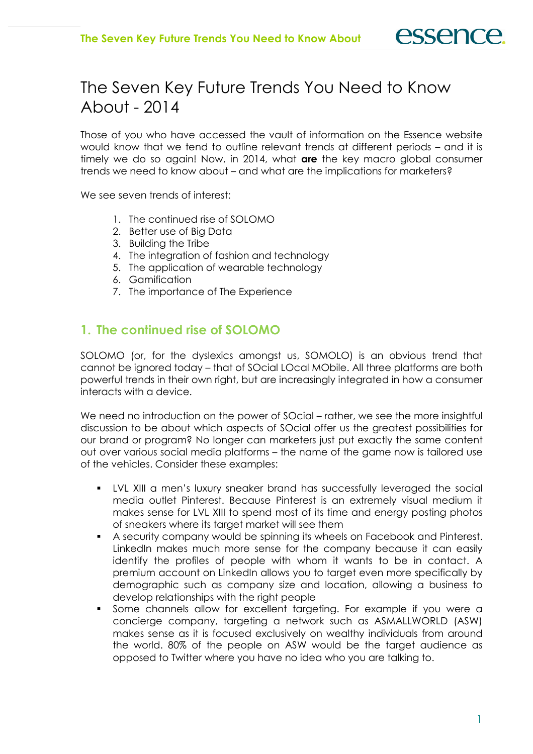# The Seven Key Future Trends You Need to Know About - 2014

Those of you who have accessed the vault of information on the Essence website would know that we tend to outline relevant trends at different periods – and it is timely we do so again! Now, in 2014, what are the key macro global consumer trends we need to know about – and what are the implications for marketers?

We see seven trends of interest:

- 1. The continued rise of SOLOMO
- 2. Better use of Big Data
- 3. Building the Tribe
- 4. The integration of fashion and technology
- 5. The application of wearable technology
- 6. Gamification
- 7. The importance of The Experience

# 1. The continued rise of SOLOMO

SOLOMO (or, for the dyslexics amongst us, SOMOLO) is an obvious trend that cannot be ignored today – that of SOcial LOcal MObile. All three platforms are both powerful trends in their own right, but are increasingly integrated in how a consumer interacts with a device.

We need no introduction on the power of SOcial – rather, we see the more insightful discussion to be about which aspects of SOcial offer us the greatest possibilities for our brand or program? No longer can marketers just put exactly the same content out over various social media platforms – the name of the game now is tailored use of the vehicles. Consider these examples:

- LVL XIII a men's luxury sneaker brand has successfully leveraged the social media outlet Pinterest. Because Pinterest is an extremely visual medium it makes sense for LVL XIII to spend most of its time and energy posting photos of sneakers where its target market will see them
- A security company would be spinning its wheels on Facebook and Pinterest. LinkedIn makes much more sense for the company because it can easily identify the profiles of people with whom it wants to be in contact. A premium account on LinkedIn allows you to target even more specifically by demographic such as company size and location, allowing a business to develop relationships with the right people
- Some channels allow for excellent targeting. For example if you were a concierge company, targeting a network such as ASMALLWORLD (ASW) makes sense as it is focused exclusively on wealthy individuals from around the world. 80% of the people on ASW would be the target audience as opposed to Twitter where you have no idea who you are talking to.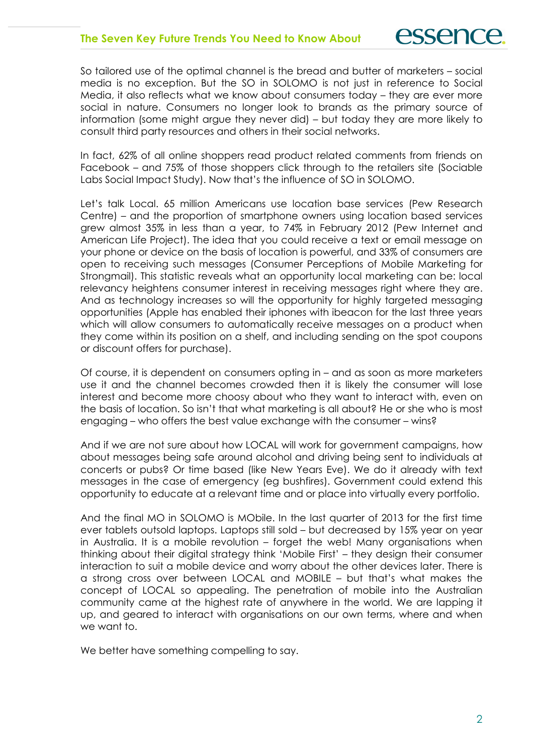So tailored use of the optimal channel is the bread and butter of marketers – social media is no exception. But the SO in SOLOMO is not just in reference to Social Media, it also reflects what we know about consumers today – they are ever more social in nature. Consumers no longer look to brands as the primary source of information (some might argue they never did) – but today they are more likely to consult third party resources and others in their social networks.

In fact, 62% of all online shoppers read product related comments from friends on Facebook – and 75% of those shoppers click through to the retailers site (Sociable Labs Social Impact Study). Now that's the influence of SO in SOLOMO.

Let's talk Local. 65 million Americans use location base services (Pew Research Centre) – and the proportion of smartphone owners using location based services grew almost 35% in less than a year, to 74% in February 2012 (Pew Internet and American Life Project). The idea that you could receive a text or email message on your phone or device on the basis of location is powerful, and 33% of consumers are open to receiving such messages (Consumer Perceptions of Mobile Marketing for Strongmail). This statistic reveals what an opportunity local marketing can be: local relevancy heightens consumer interest in receiving messages right where they are. And as technology increases so will the opportunity for highly targeted messaging opportunities (Apple has enabled their iphones with ibeacon for the last three years which will allow consumers to automatically receive messages on a product when they come within its position on a shelf, and including sending on the spot coupons or discount offers for purchase).

Of course, it is dependent on consumers opting in – and as soon as more marketers use it and the channel becomes crowded then it is likely the consumer will lose interest and become more choosy about who they want to interact with, even on the basis of location. So isn't that what marketing is all about? He or she who is most engaging – who offers the best value exchange with the consumer – wins?

And if we are not sure about how LOCAL will work for government campaigns, how about messages being safe around alcohol and driving being sent to individuals at concerts or pubs? Or time based (like New Years Eve). We do it already with text messages in the case of emergency (eg bushfires). Government could extend this opportunity to educate at a relevant time and or place into virtually every portfolio.

And the final MO in SOLOMO is MObile. In the last quarter of 2013 for the first time ever tablets outsold laptops. Laptops still sold – but decreased by 15% year on year in Australia. It is a mobile revolution – forget the web! Many organisations when thinking about their digital strategy think 'Mobile First' – they design their consumer interaction to suit a mobile device and worry about the other devices later. There is a strong cross over between LOCAL and MOBILE – but that's what makes the concept of LOCAL so appealing. The penetration of mobile into the Australian community came at the highest rate of anywhere in the world. We are lapping it up, and geared to interact with organisations on our own terms, where and when we want to.

We better have something compelling to say.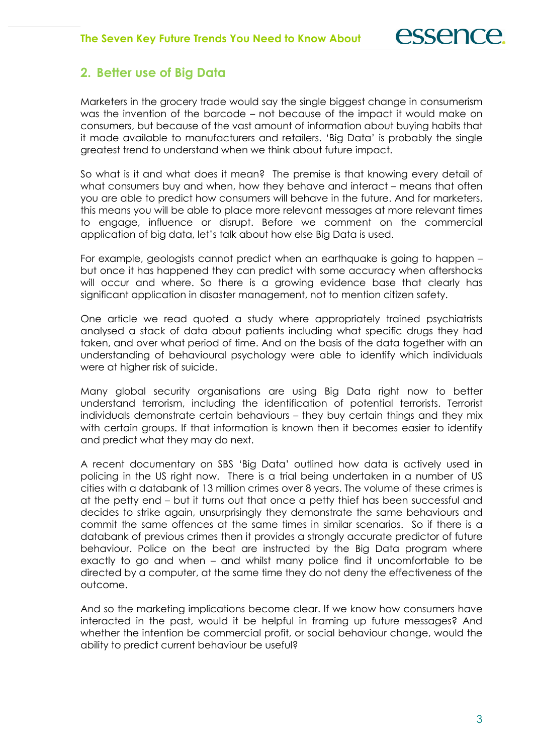## 2. Better use of Big Data

Marketers in the grocery trade would say the single biggest change in consumerism was the invention of the barcode – not because of the impact it would make on consumers, but because of the vast amount of information about buying habits that it made available to manufacturers and retailers. 'Big Data' is probably the single greatest trend to understand when we think about future impact.

So what is it and what does it mean? The premise is that knowing every detail of what consumers buy and when, how they behave and interact – means that often you are able to predict how consumers will behave in the future. And for marketers, this means you will be able to place more relevant messages at more relevant times to engage, influence or disrupt. Before we comment on the commercial application of big data, let's talk about how else Big Data is used.

For example, geologists cannot predict when an earthquake is going to happen – but once it has happened they can predict with some accuracy when aftershocks will occur and where. So there is a growing evidence base that clearly has significant application in disaster management, not to mention citizen safety.

One article we read quoted a study where appropriately trained psychiatrists analysed a stack of data about patients including what specific drugs they had taken, and over what period of time. And on the basis of the data together with an understanding of behavioural psychology were able to identify which individuals were at higher risk of suicide.

Many global security organisations are using Big Data right now to better understand terrorism, including the identification of potential terrorists. Terrorist individuals demonstrate certain behaviours – they buy certain things and they mix with certain groups. If that information is known then it becomes easier to identify and predict what they may do next.

A recent documentary on SBS 'Big Data' outlined how data is actively used in policing in the US right now. There is a trial being undertaken in a number of US cities with a databank of 13 million crimes over 8 years. The volume of these crimes is at the petty end – but it turns out that once a petty thief has been successful and decides to strike again, unsurprisingly they demonstrate the same behaviours and commit the same offences at the same times in similar scenarios. So if there is a databank of previous crimes then it provides a strongly accurate predictor of future behaviour. Police on the beat are instructed by the Big Data program where exactly to go and when – and whilst many police find it uncomfortable to be directed by a computer, at the same time they do not deny the effectiveness of the outcome.

And so the marketing implications become clear. If we know how consumers have interacted in the past, would it be helpful in framing up future messages? And whether the intention be commercial profit, or social behaviour change, would the ability to predict current behaviour be useful?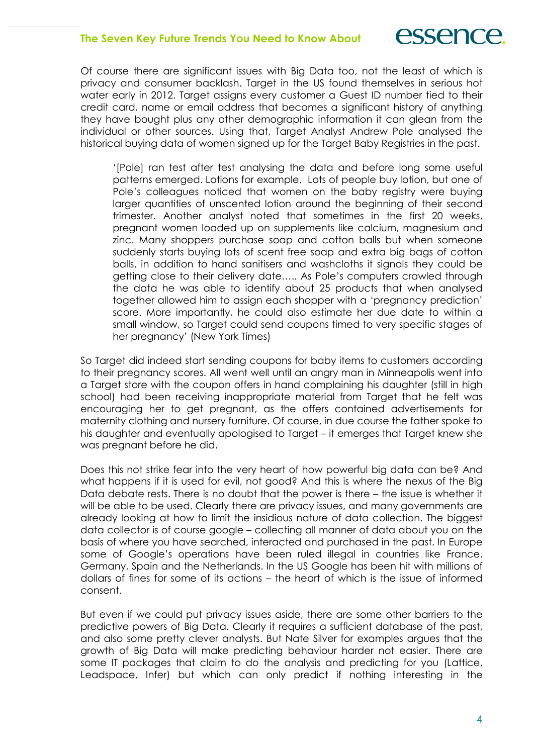Of course there are significant issues with Big Data too, not the least of which is privacy and consumer backlash. Target in the US found themselves in serious hot water early in 2012. Target assigns every customer a Guest ID number tied to their credit card, name or email address that becomes a significant history of anything they have bought plus any other demographic information it can glean from the individual or other sources. Using that, Target Analyst Andrew Pole analysed the historical buying data of women signed up for the Target Baby Registries in the past.

'[Pole] ran test after test analysing the data and before long some useful patterns emerged. Lotions for example. Lots of people buy lotion, but one of Pole's colleagues noticed that women on the baby registry were buying larger quantities of unscented lotion around the beginning of their second trimester. Another analyst noted that sometimes in the first 20 weeks, pregnant women loaded up on supplements like calcium, magnesium and zinc. Many shoppers purchase soap and cotton balls but when someone suddenly starts buying lots of scent free soap and extra big bags of cotton balls, in addition to hand sanitisers and washcloths it signals they could be getting close to their delivery date….. As Pole's computers crawled through the data he was able to identify about 25 products that when analysed together allowed him to assign each shopper with a 'pregnancy prediction' score. More importantly, he could also estimate her due date to within a small window, so Target could send coupons timed to very specific stages of her pregnancy' (New York Times)

So Target did indeed start sending coupons for baby items to customers according to their pregnancy scores. All went well until an angry man in Minneapolis went into a Target store with the coupon offers in hand complaining his daughter (still in high school) had been receiving inappropriate material from Target that he felt was encouraging her to get pregnant, as the offers contained advertisements for maternity clothing and nursery furniture. Of course, in due course the father spoke to his daughter and eventually apologised to Target – it emerges that Target knew she was pregnant before he did.

Does this not strike fear into the very heart of how powerful big data can be? And what happens if it is used for evil, not good? And this is where the nexus of the Big Data debate rests. There is no doubt that the power is there – the issue is whether it will be able to be used. Clearly there are privacy issues, and many governments are already looking at how to limit the insidious nature of data collection. The biggest data collector is of course google – collecting all manner of data about you on the basis of where you have searched, interacted and purchased in the past. In Europe some of Google's operations have been ruled illegal in countries like France, Germany, Spain and the Netherlands. In the US Google has been hit with millions of dollars of fines for some of its actions – the heart of which is the issue of informed consent.

But even if we could put privacy issues aside, there are some other barriers to the predictive powers of Big Data. Clearly it requires a sufficient database of the past, and also some pretty clever analysts. But Nate Silver for examples argues that the growth of Big Data will make predicting behaviour harder not easier. There are some IT packages that claim to do the analysis and predicting for you (Lattice, Leadspace, Infer) but which can only predict if nothing interesting in the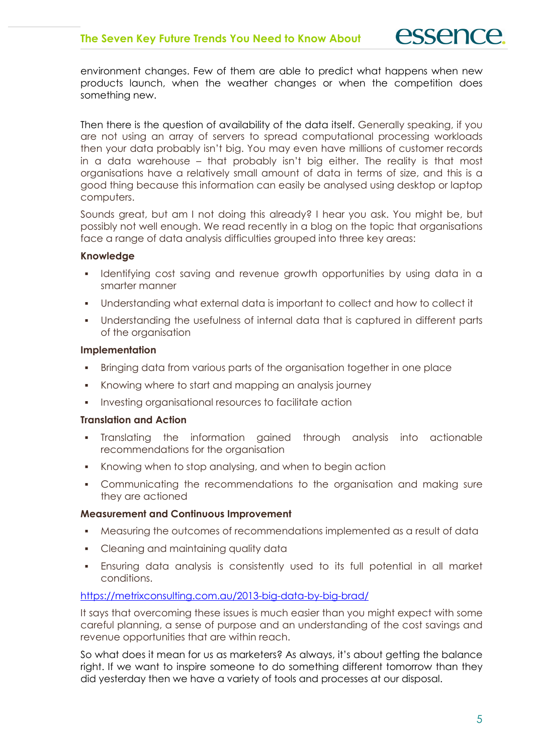environment changes. Few of them are able to predict what happens when new products launch, when the weather changes or when the competition does something new.

Then there is the question of availability of the data itself. Generally speaking, if you are not using an array of servers to spread computational processing workloads then your data probably isn't big. You may even have millions of customer records in a data warehouse – that probably isn't big either. The reality is that most organisations have a relatively small amount of data in terms of size, and this is a good thing because this information can easily be analysed using desktop or laptop computers.

Sounds great, but am I not doing this already? I hear you ask. You might be, but possibly not well enough. We read recently in a blog on the topic that organisations face a range of data analysis difficulties grouped into three key areas:

#### Knowledge

- Identifying cost saving and revenue growth opportunities by using data in a smarter manner
- Understanding what external data is important to collect and how to collect it
- Understanding the usefulness of internal data that is captured in different parts of the organisation

#### Implementation

- **Bringing data from various parts of the organisation together in one place**
- Knowing where to start and mapping an analysis journey
- Investing organisational resources to facilitate action

#### Translation and Action

- Translating the information gained through analysis into actionable recommendations for the organisation
- Knowing when to stop analysing, and when to begin action
- Communicating the recommendations to the organisation and making sure they are actioned

#### Measurement and Continuous Improvement

- Measuring the outcomes of recommendations implemented as a result of data
- Cleaning and maintaining quality data
- Ensuring data analysis is consistently used to its full potential in all market conditions.

#### https://metrixconsulting.com.au/2013-big-data-by-big-brad/

It says that overcoming these issues is much easier than you might expect with some careful planning, a sense of purpose and an understanding of the cost savings and revenue opportunities that are within reach.

So what does it mean for us as marketers? As always, it's about getting the balance right. If we want to inspire someone to do something different tomorrow than they did yesterday then we have a variety of tools and processes at our disposal.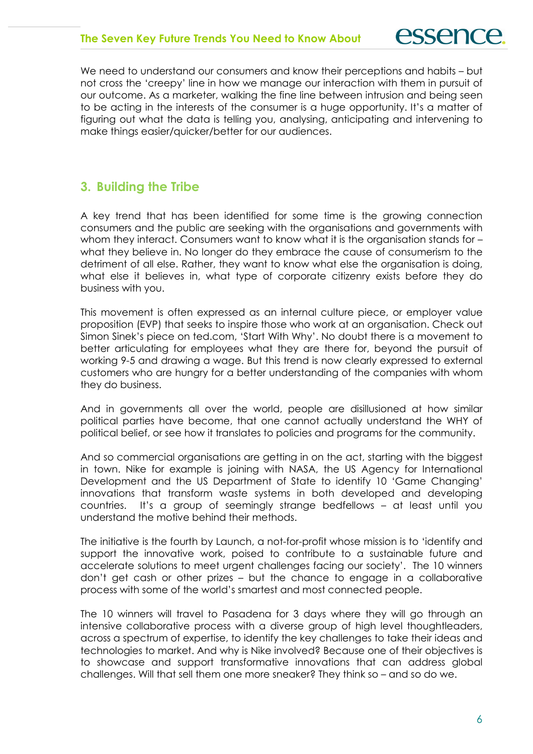We need to understand our consumers and know their perceptions and habits – but not cross the 'creepy' line in how we manage our interaction with them in pursuit of our outcome. As a marketer, walking the fine line between intrusion and being seen to be acting in the interests of the consumer is a huge opportunity. It's a matter of figuring out what the data is telling you, analysing, anticipating and intervening to make things easier/quicker/better for our audiences.

## 3. Building the Tribe

A key trend that has been identified for some time is the growing connection consumers and the public are seeking with the organisations and governments with whom they interact. Consumers want to know what it is the organisation stands for – what they believe in. No longer do they embrace the cause of consumerism to the detriment of all else. Rather, they want to know what else the organisation is doing, what else it believes in, what type of corporate citizenry exists before they do business with you.

This movement is often expressed as an internal culture piece, or employer value proposition (EVP) that seeks to inspire those who work at an organisation. Check out Simon Sinek's piece on ted.com, 'Start With Why'. No doubt there is a movement to better articulating for employees what they are there for, beyond the pursuit of working 9-5 and drawing a wage. But this trend is now clearly expressed to external customers who are hungry for a better understanding of the companies with whom they do business.

And in governments all over the world, people are disillusioned at how similar political parties have become, that one cannot actually understand the WHY of political belief, or see how it translates to policies and programs for the community.

And so commercial organisations are getting in on the act, starting with the biggest in town. Nike for example is joining with NASA, the US Agency for International Development and the US Department of State to identify 10 'Game Changing' innovations that transform waste systems in both developed and developing countries. It's a group of seemingly strange bedfellows – at least until you understand the motive behind their methods.

The initiative is the fourth by Launch, a not-for-profit whose mission is to 'identify and support the innovative work, poised to contribute to a sustainable future and accelerate solutions to meet urgent challenges facing our society'. The 10 winners don't get cash or other prizes – but the chance to engage in a collaborative process with some of the world's smartest and most connected people.

The 10 winners will travel to Pasadena for 3 days where they will go through an intensive collaborative process with a diverse group of high level thoughtleaders, across a spectrum of expertise, to identify the key challenges to take their ideas and technologies to market. And why is Nike involved? Because one of their objectives is to showcase and support transformative innovations that can address global challenges. Will that sell them one more sneaker? They think so – and so do we.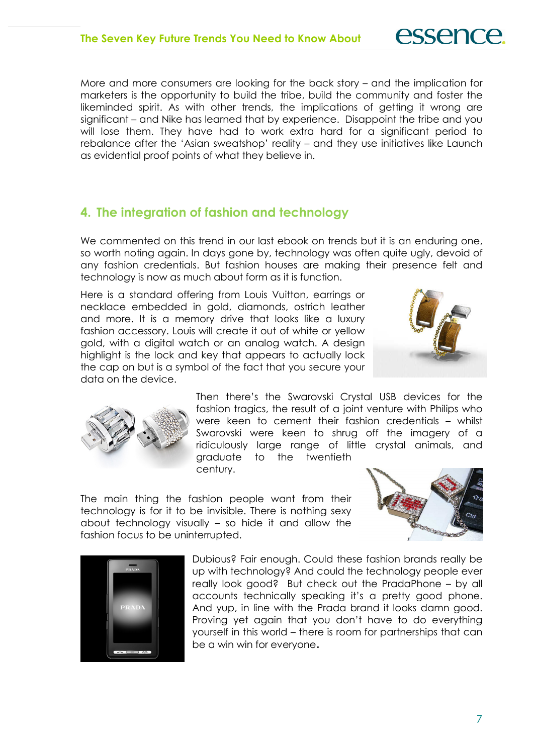More and more consumers are looking for the back story – and the implication for marketers is the opportunity to build the tribe, build the community and foster the likeminded spirit. As with other trends, the implications of getting it wrong are significant – and Nike has learned that by experience. Disappoint the tribe and you will lose them. They have had to work extra hard for a significant period to rebalance after the 'Asian sweatshop' reality – and they use initiatives like Launch as evidential proof points of what they believe in.

# 4. The integration of fashion and technology

We commented on this trend in our last ebook on trends but it is an enduring one, so worth noting again. In days gone by, technology was often quite ugly, devoid of any fashion credentials. But fashion houses are making their presence felt and technology is now as much about form as it is function.

Here is a standard offering from Louis Vuitton, earrings or necklace embedded in gold, diamonds, ostrich leather and more. It is a memory drive that looks like a luxury fashion accessory. Louis will create it out of white or yellow gold, with a digital watch or an analog watch. A design highlight is the lock and key that appears to actually lock the cap on but is a symbol of the fact that you secure your data on the device.



**essence** 



Then there's the Swarovski Crystal USB devices for the fashion tragics, the result of a joint venture with Philips who were keen to cement their fashion credentials – whilst Swarovski were keen to shrug off the imagery of a ridiculously large range of little crystal animals, and graduate to the twentieth century.

The main thing the fashion people want from their technology is for it to be invisible. There is nothing sexy about technology visually – so hide it and allow the fashion focus to be uninterrupted.





Dubious? Fair enough. Could these fashion brands really be up with technology? And could the technology people ever really look good? But check out the PradaPhone – by all accounts technically speaking it's a pretty good phone. And yup, in line with the Prada brand it looks damn good. Proving yet again that you don't have to do everything yourself in this world – there is room for partnerships that can be a win win for everyone.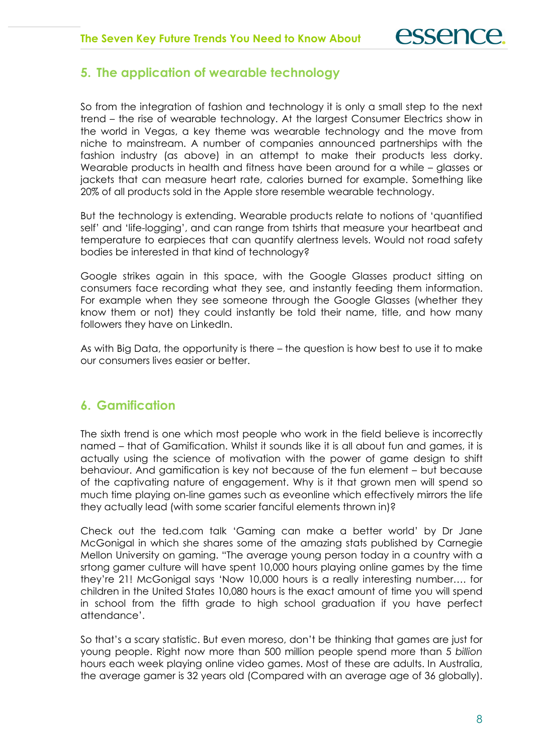### 5. The application of wearable technology

So from the integration of fashion and technology it is only a small step to the next trend – the rise of wearable technology. At the largest Consumer Electrics show in the world in Vegas, a key theme was wearable technology and the move from niche to mainstream. A number of companies announced partnerships with the fashion industry (as above) in an attempt to make their products less dorky. Wearable products in health and fitness have been around for a while – glasses or jackets that can measure heart rate, calories burned for example. Something like 20% of all products sold in the Apple store resemble wearable technology.

But the technology is extending. Wearable products relate to notions of 'quantified self' and 'life-logging', and can range from tshirts that measure your heartbeat and temperature to earpieces that can quantify alertness levels. Would not road safety bodies be interested in that kind of technology?

Google strikes again in this space, with the Google Glasses product sitting on consumers face recording what they see, and instantly feeding them information. For example when they see someone through the Google Glasses (whether they know them or not) they could instantly be told their name, title, and how many followers they have on LinkedIn.

As with Big Data, the opportunity is there – the question is how best to use it to make our consumers lives easier or better.

## 6. Gamification

The sixth trend is one which most people who work in the field believe is incorrectly named – that of Gamification. Whilst it sounds like it is all about fun and games, it is actually using the science of motivation with the power of game design to shift behaviour. And gamification is key not because of the fun element – but because of the captivating nature of engagement. Why is it that grown men will spend so much time playing on-line games such as eveonline which effectively mirrors the life they actually lead (with some scarier fanciful elements thrown in)?

Check out the ted.com talk 'Gaming can make a better world' by Dr Jane McGonigal in which she shares some of the amazing stats published by Carnegie Mellon University on gaming. "The average young person today in a country with a srtong gamer culture will have spent 10,000 hours playing online games by the time they're 21! McGonigal says 'Now 10,000 hours is a really interesting number…. for children in the United States 10,080 hours is the exact amount of time you will spend in school from the fifth grade to high school graduation if you have perfect attendance'.

So that's a scary statistic. But even moreso, don't be thinking that games are just for young people. Right now more than 500 million people spend more than 5 billion hours each week playing online video games. Most of these are adults. In Australia, the average gamer is 32 years old (Compared with an average age of 36 globally).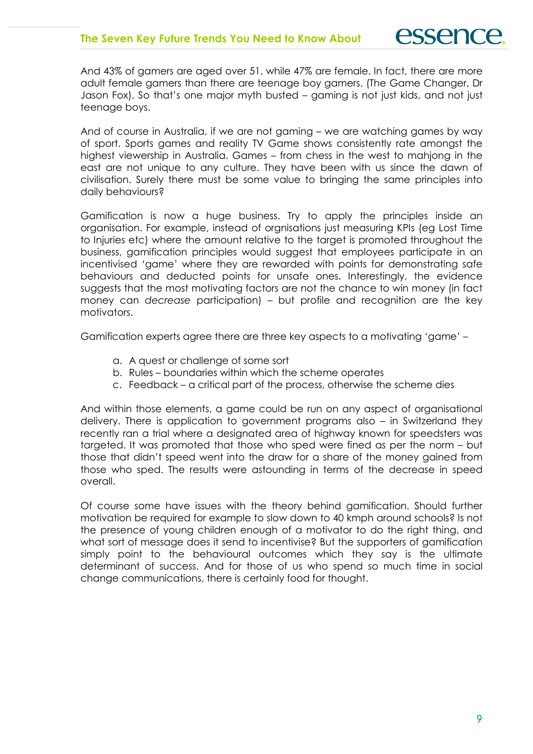And 43% of gamers are aged over 51, while 47% are female. In fact, there are more adult female gamers than there are teenage boy gamers. (The Game Changer, Dr Jason Fox). So that's one major myth busted – gaming is not just kids, and not just teenage boys.

And of course in Australia, if we are not gaming – we are watching games by way of sport. Sports games and reality TV Game shows consistently rate amongst the highest viewership in Australia. Games – from chess in the west to mahjong in the east are not unique to any culture. They have been with us since the dawn of civilisation. Surely there must be some value to bringing the same principles into daily behaviours?

Gamification is now a huge business. Try to apply the principles inside an organisation. For example, instead of orgnisations just measuring KPIs (eg Lost Time to Injuries etc) where the amount relative to the target is promoted throughout the business, gamification principles would suggest that employees participate in an incentivised 'game' where they are rewarded with points for demonstrating safe behaviours and deducted points for unsafe ones. Interestingly, the evidence suggests that the most motivating factors are not the chance to win money (in fact money can decrease participation) – but profile and recognition are the key motivators.

Gamification experts agree there are three key aspects to a motivating 'game' –

- a. A quest or challenge of some sort
- b. Rules boundaries within which the scheme operates
- c. Feedback a critical part of the process, otherwise the scheme dies

And within those elements, a game could be run on any aspect of organisational delivery. There is application to government programs also – in Switzerland they recently ran a trial where a designated area of highway known for speedsters was targeted. It was promoted that those who sped were fined as per the norm – but those that didn't speed went into the draw for a share of the money gained from those who sped. The results were astounding in terms of the decrease in speed overall.

Of course some have issues with the theory behind gamification. Should further motivation be required for example to slow down to 40 kmph around schools? Is not the presence of young children enough of a motivator to do the right thing, and what sort of message does it send to incentivise? But the supporters of gamification simply point to the behavioural outcomes which they say is the ultimate determinant of success. And for those of us who spend so much time in social change communications, there is certainly food for thought.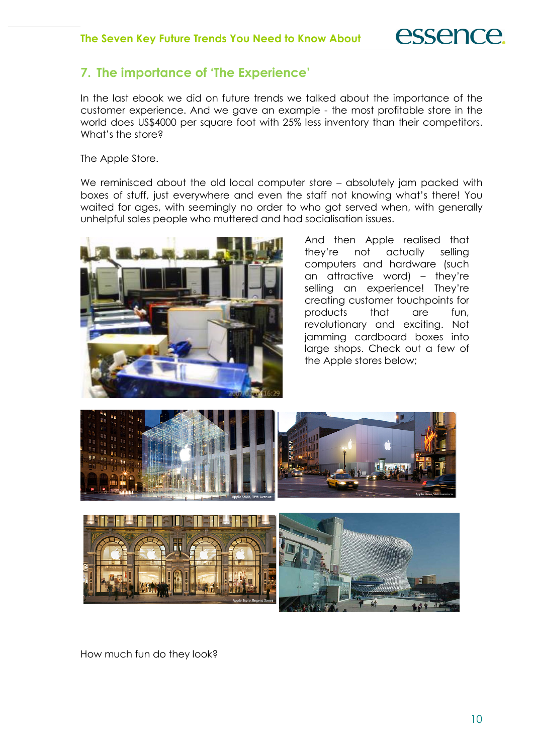# 7. The importance of 'The Experience'

In the last ebook we did on future trends we talked about the importance of the customer experience. And we gave an example - the most profitable store in the world does US\$4000 per square foot with 25% less inventory than their competitors. What's the store?

The Apple Store.

We reminisced about the old local computer store – absolutely jam packed with boxes of stuff, just everywhere and even the staff not knowing what's there! You waited for ages, with seemingly no order to who got served when, with generally unhelpful sales people who muttered and had socialisation issues.



And then Apple realised that they're not actually selling computers and hardware (such an attractive word) – they're selling an experience! They're creating customer touchpoints for products that are fun, revolutionary and exciting. Not jamming cardboard boxes into large shops. Check out a few of the Apple stores below;





How much fun do they look?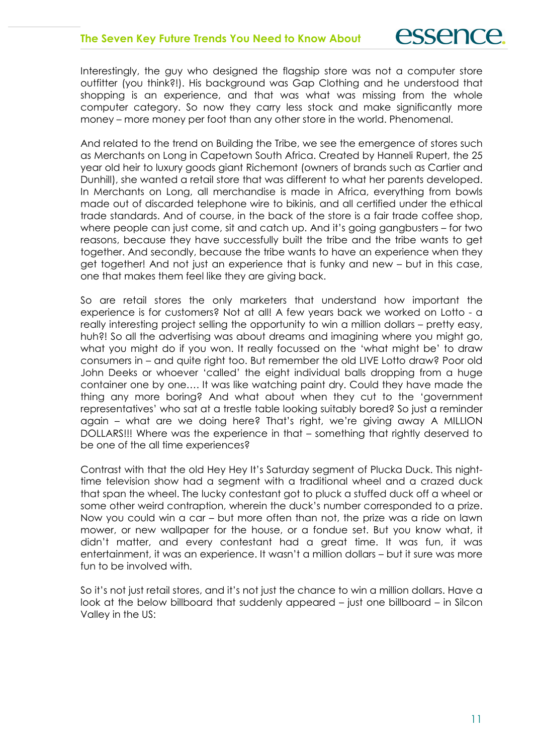Interestingly, the guy who designed the flagship store was not a computer store outfitter (you think?!). His background was Gap Clothing and he understood that shopping is an experience, and that was what was missing from the whole computer category. So now they carry less stock and make significantly more money – more money per foot than any other store in the world. Phenomenal.

And related to the trend on Building the Tribe, we see the emergence of stores such as Merchants on Long in Capetown South Africa. Created by Hanneli Rupert, the 25 year old heir to luxury goods giant Richemont (owners of brands such as Cartier and Dunhill), she wanted a retail store that was different to what her parents developed. In Merchants on Long, all merchandise is made in Africa, everything from bowls made out of discarded telephone wire to bikinis, and all certified under the ethical trade standards. And of course, in the back of the store is a fair trade coffee shop, where people can just come, sit and catch up. And it's going gangbusters – for two reasons, because they have successfully built the tribe and the tribe wants to get together. And secondly, because the tribe wants to have an experience when they get together! And not just an experience that is funky and new – but in this case, one that makes them feel like they are giving back.

So are retail stores the only marketers that understand how important the experience is for customers? Not at all! A few years back we worked on Lotto - a really interesting project selling the opportunity to win a million dollars – pretty easy, huh?! So all the advertising was about dreams and imagining where you might go, what you might do if you won. It really focussed on the 'what might be' to draw consumers in – and quite right too. But remember the old LIVE Lotto draw? Poor old John Deeks or whoever 'called' the eight individual balls dropping from a huge container one by one…. It was like watching paint dry. Could they have made the thing any more boring? And what about when they cut to the 'government representatives' who sat at a trestle table looking suitably bored? So just a reminder again – what are we doing here? That's right, we're giving away A MILLION DOLLARS!!! Where was the experience in that – something that rightly deserved to be one of the all time experiences?

Contrast with that the old Hey Hey It's Saturday segment of Plucka Duck. This nighttime television show had a segment with a traditional wheel and a crazed duck that span the wheel. The lucky contestant got to pluck a stuffed duck off a wheel or some other weird contraption, wherein the duck's number corresponded to a prize. Now you could win a car – but more often than not, the prize was a ride on lawn mower, or new wallpaper for the house, or a fondue set. But you know what, it didn't matter, and every contestant had a great time. It was fun, it was entertainment, it was an experience. It wasn't a million dollars – but it sure was more fun to be involved with.

So it's not just retail stores, and it's not just the chance to win a million dollars. Have a look at the below billboard that suddenly appeared – just one billboard – in Silcon Valley in the US: